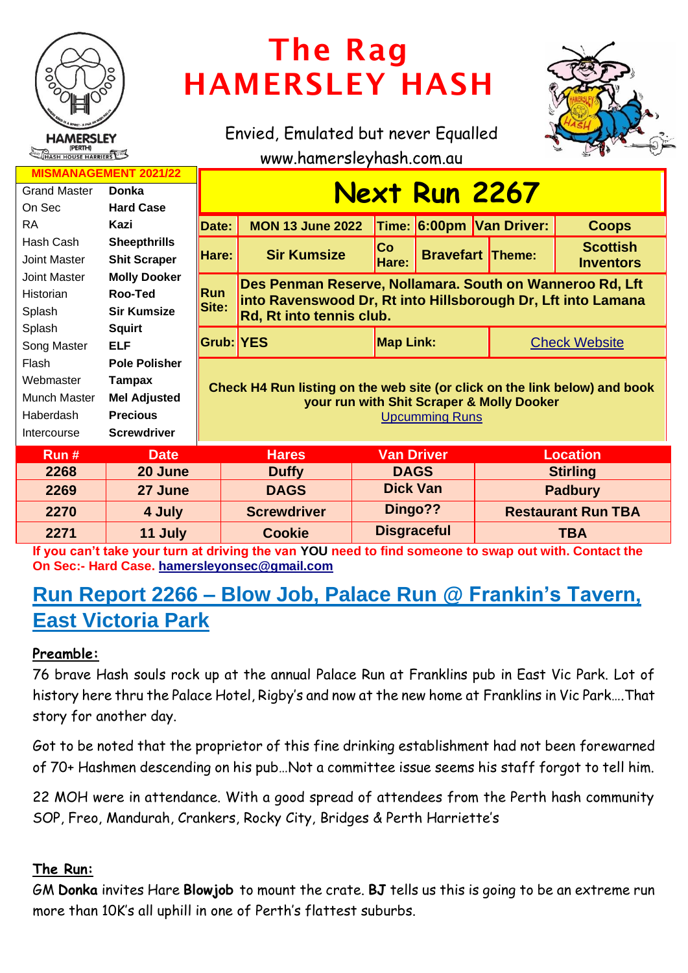

# The Rag HAMERSLEY HASH

Envied, Emulated but never Equalled



www.hamersleyhash.com.au

| <b>MISMANAGEMENT 2021/22</b> |                      |                                                                                                                                                  |                                                                                                                          |                  |                         |                          |                                     |  |
|------------------------------|----------------------|--------------------------------------------------------------------------------------------------------------------------------------------------|--------------------------------------------------------------------------------------------------------------------------|------------------|-------------------------|--------------------------|-------------------------------------|--|
| <b>Grand Master</b>          | <b>Donka</b>         | <u>Next Run 2267</u>                                                                                                                             |                                                                                                                          |                  |                         |                          |                                     |  |
| On Sec                       | <b>Hard Case</b>     |                                                                                                                                                  |                                                                                                                          |                  |                         |                          |                                     |  |
| <b>RA</b>                    | Kazi                 | Date:                                                                                                                                            | <b>MON 13 June 2022</b>                                                                                                  |                  |                         | Time: 6:00pm Van Driver: | <b>Coops</b>                        |  |
| Hash Cash                    | <b>Sheepthrills</b>  | Hare:                                                                                                                                            | <b>Sir Kumsize</b>                                                                                                       | <b>Co</b>        | <b>Bravefart Theme:</b> |                          | <b>Scottish</b><br><b>Inventors</b> |  |
| <b>Joint Master</b>          | <b>Shit Scraper</b>  |                                                                                                                                                  |                                                                                                                          | Hare:            |                         |                          |                                     |  |
| <b>Joint Master</b>          | <b>Molly Dooker</b>  |                                                                                                                                                  | Des Penman Reserve, Nollamara. South on Wanneroo Rd, Lft<br>into Ravenswood Dr, Rt into Hillsborough Dr, Lft into Lamana |                  |                         |                          |                                     |  |
| Historian                    | Roo-Ted              | <b>Run</b>                                                                                                                                       |                                                                                                                          |                  |                         |                          |                                     |  |
| Splash                       | <b>Sir Kumsize</b>   | Site:<br>Rd, Rt into tennis club.                                                                                                                |                                                                                                                          |                  |                         |                          |                                     |  |
| Splash                       | <b>Squirt</b>        |                                                                                                                                                  |                                                                                                                          | <b>Map Link:</b> |                         |                          | <b>Check Website</b>                |  |
| Song Master                  | <b>ELF</b>           | Grub: YES                                                                                                                                        |                                                                                                                          |                  |                         |                          |                                     |  |
| Flash                        | <b>Pole Polisher</b> | Check H4 Run listing on the web site (or click on the link below) and book<br>your run with Shit Scraper & Molly Dooker<br><b>Upcumming Runs</b> |                                                                                                                          |                  |                         |                          |                                     |  |
| Webmaster                    | Tampax               |                                                                                                                                                  |                                                                                                                          |                  |                         |                          |                                     |  |
| Munch Master                 | <b>Mel Adjusted</b>  |                                                                                                                                                  |                                                                                                                          |                  |                         |                          |                                     |  |
| Haberdash                    | <b>Precious</b>      |                                                                                                                                                  |                                                                                                                          |                  |                         |                          |                                     |  |
| Intercourse                  | <b>Screwdriver</b>   |                                                                                                                                                  |                                                                                                                          |                  |                         |                          |                                     |  |
| Run#                         | <b>Date</b>          | <b>Hares</b>                                                                                                                                     |                                                                                                                          |                  | <b>Van Driver</b>       |                          | <b>Location</b>                     |  |
| 2268                         | 20 June              |                                                                                                                                                  | <b>Duffy</b>                                                                                                             | <b>DAGS</b>      |                         | <b>Stirling</b>          |                                     |  |
| 2269                         | 27 June              |                                                                                                                                                  | <b>DAGS</b>                                                                                                              | <b>Dick Van</b>  |                         | <b>Padbury</b>           |                                     |  |

**If you can't take your turn at driving the van YOU need to find someone to swap out with. Contact the On Sec:- Hard Case. [hamersleyonsec@gmail.com](mailto:hamersleyonsec@gmail.com) 2271 11 July Cookie Disgraceful TBA**

**2270 4 July Screwdriver Dingo?? Restaurant Run TBA**

# **Run Report 2266 – Blow Job, Palace Run @ Frankin's Tavern, East Victoria Park**

# **Preamble:**

76 brave Hash souls rock up at the annual Palace Run at Franklins pub in East Vic Park. Lot of history here thru the Palace Hotel, Rigby's and now at the new home at Franklins in Vic Park….That story for another day.

Got to be noted that the proprietor of this fine drinking establishment had not been forewarned of 70+ Hashmen descending on his pub…Not a committee issue seems his staff forgot to tell him.

22 MOH were in attendance. With a good spread of attendees from the Perth hash community SOP, Freo, Mandurah, Crankers, Rocky City, Bridges & Perth Harriette's

# **The Run:**

GM **Donka** invites Hare **Blowjob** to mount the crate. **BJ** tells us this is going to be an extreme run more than 10K's all uphill in one of Perth's flattest suburbs.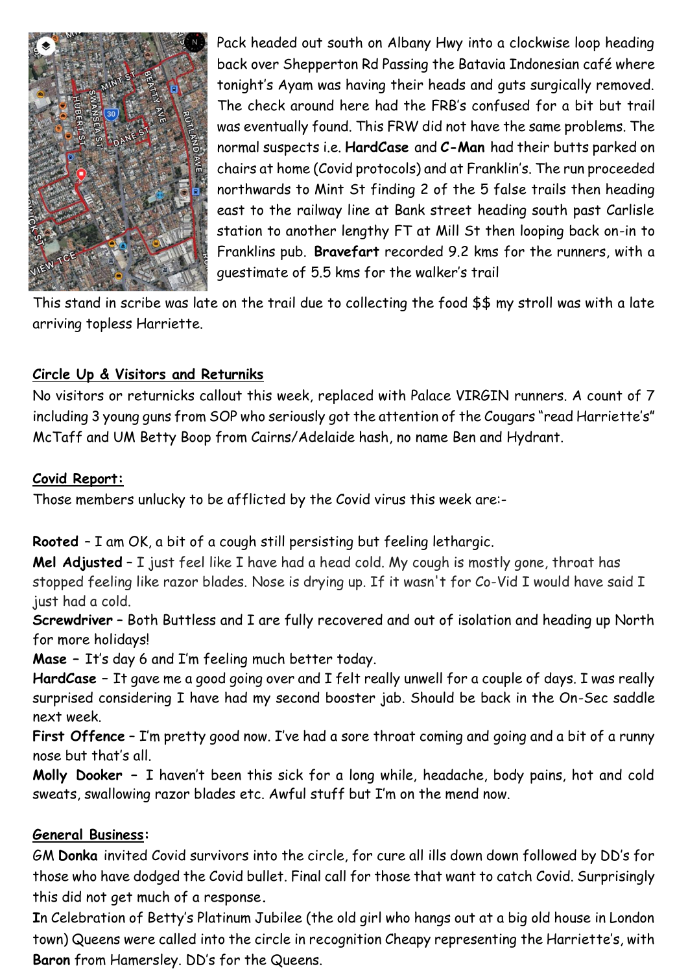

Pack headed out south on Albany Hwy into a clockwise loop heading back over Shepperton Rd Passing the Batavia Indonesian café where tonight's Ayam was having their heads and guts surgically removed. The check around here had the FRB's confused for a bit but trail was eventually found. This FRW did not have the same problems. The normal suspects i.e. **HardCase** and **C-Man** had their butts parked on chairs at home (Covid protocols) and at Franklin's. The run proceeded northwards to Mint St finding 2 of the 5 false trails then heading east to the railway line at Bank street heading south past Carlisle station to another lengthy FT at Mill St then looping back on-in to Franklins pub. **Bravefart** recorded 9.2 kms for the runners, with a guestimate of 5.5 kms for the walker's trail

This stand in scribe was late on the trail due to collecting the food \$\$ my stroll was with a late arriving topless Harriette.

# **Circle Up & Visitors and Returniks**

No visitors or returnicks callout this week, replaced with Palace VIRGIN runners. A count of 7 including 3 young guns from SOP who seriously got the attention of the Cougars "read Harriette's" McTaff and UM Betty Boop from Cairns/Adelaide hash, no name Ben and Hydrant.

#### **Covid Report:**

Those members unlucky to be afflicted by the Covid virus this week are:-

**Rooted** – I am OK, a bit of a cough still persisting but feeling lethargic.

**Mel Adjusted** – I just feel like I have had a head cold. My cough is mostly gone, throat has stopped feeling like razor blades. Nose is drying up. If it wasn't for Co-Vid I would have said I just had a cold.

**Screwdriver** – Both Buttless and I are fully recovered and out of isolation and heading up North for more holidays!

**Mase –** It's day 6 and I'm feeling much better today.

**HardCase –** It gave me a good going over and I felt really unwell for a couple of days. I was really surprised considering I have had my second booster jab. Should be back in the On-Sec saddle next week.

**First Offence** – I'm pretty good now. I've had a sore throat coming and going and a bit of a runny nose but that's all.

**Molly Dooker –** I haven't been this sick for a long while, headache, body pains, hot and cold sweats, swallowing razor blades etc. Awful stuff but I'm on the mend now.

# **General Business:**

GM **Donka** invited Covid survivors into the circle, for cure all ills down down followed by DD's for those who have dodged the Covid bullet. Final call for those that want to catch Covid. Surprisingly this did not get much of a response**.** 

**I**n Celebration of Betty's Platinum Jubilee (the old girl who hangs out at a big old house in London town) Queens were called into the circle in recognition Cheapy representing the Harriette's, with **Baron** from Hamersley. DD's for the Queens.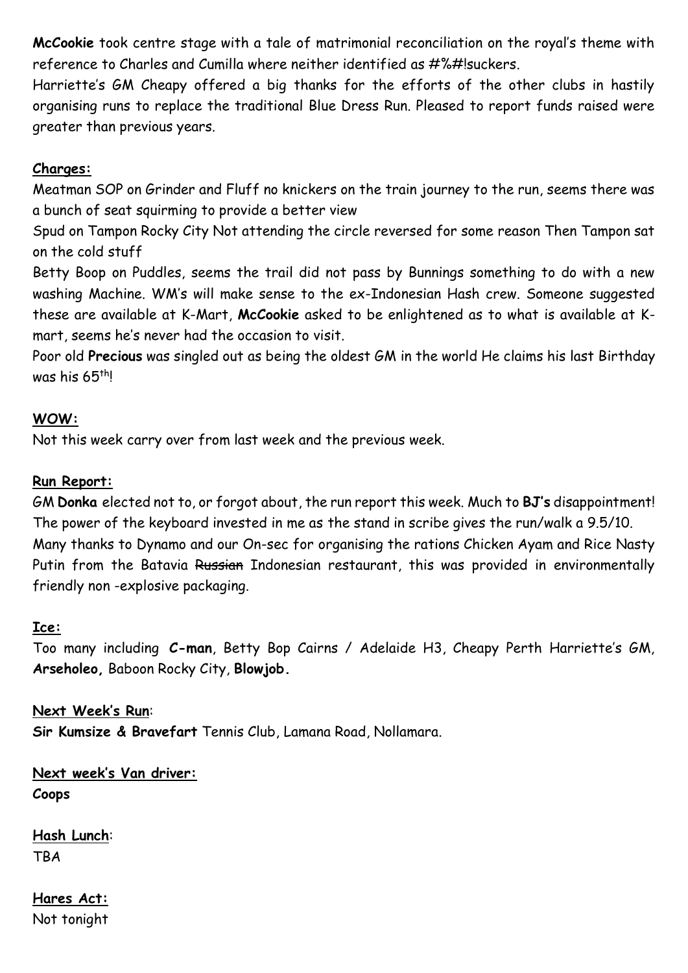**McCookie** took centre stage with a tale of matrimonial reconciliation on the royal's theme with reference to Charles and Cumilla where neither identified as #%#!suckers.

Harriette's GM Cheapy offered a big thanks for the efforts of the other clubs in hastily organising runs to replace the traditional Blue Dress Run. Pleased to report funds raised were greater than previous years.

#### **Charges:**

Meatman SOP on Grinder and Fluff no knickers on the train journey to the run, seems there was a bunch of seat squirming to provide a better view

Spud on Tampon Rocky City Not attending the circle reversed for some reason Then Tampon sat on the cold stuff

Betty Boop on Puddles, seems the trail did not pass by Bunnings something to do with a new washing Machine. WM's will make sense to the ex-Indonesian Hash crew. Someone suggested these are available at K-Mart, **McCookie** asked to be enlightened as to what is available at Kmart, seems he's never had the occasion to visit.

Poor old **Precious** was singled out as being the oldest GM in the world He claims his last Birthday was his 65<sup>th</sup>!

#### **WOW:**

Not this week carry over from last week and the previous week.

#### **Run Report:**

GM **Donka** elected not to, or forgot about, the run report this week. Much to **BJ's** disappointment! The power of the keyboard invested in me as the stand in scribe gives the run/walk a 9.5/10. Many thanks to Dynamo and our On-sec for organising the rations Chicken Ayam and Rice Nasty Putin from the Batavia Russian Indonesian restaurant, this was provided in environmentally friendly non -explosive packaging.

#### **Ice:**

Too many including **C-man**, Betty Bop Cairns / Adelaide H3, Cheapy Perth Harriette's GM, **Arseholeo,** Baboon Rocky City, **Blowjob.**

**Next Week's Run**: **Sir Kumsize & Bravefart** Tennis Club, Lamana Road, Nollamara.

**Next week's Van driver: Coops**

**Hash Lunch**: TBA

**Hares Act:** Not tonight